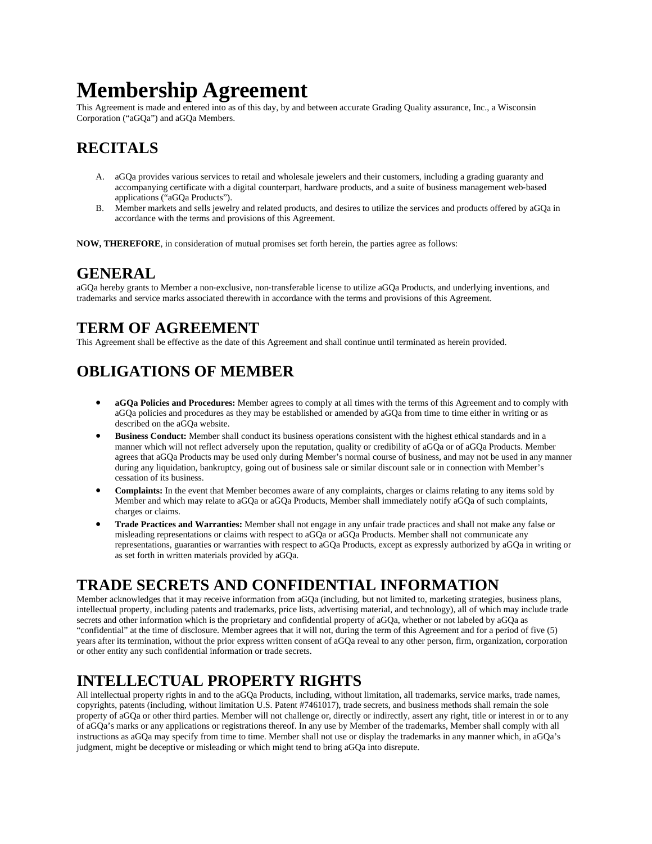# **Membership Agreement**

This Agreement is made and entered into as of this day, by and between accurate Grading Quality assurance, Inc., a Wisconsin Corporation ("aGQa") and aGQa Members.

# **RECITALS**

- A. aGQa provides various services to retail and wholesale jewelers and their customers, including a grading guaranty and accompanying certificate with a digital counterpart, hardware products, and a suite of business management web‐based applications ("aGQa Products").
- B. Member markets and sells jewelry and related products, and desires to utilize the services and products offered by aGQa in accordance with the terms and provisions of this Agreement.

**NOW, THEREFORE**, in consideration of mutual promises set forth herein, the parties agree as follows:

## **GENERAL**

aGQa hereby grants to Member a non‐exclusive, non‐transferable license to utilize aGQa Products, and underlying inventions, and trademarks and service marks associated therewith in accordance with the terms and provisions of this Agreement.

# **TERM OF AGREEMENT**

This Agreement shall be effective as the date of this Agreement and shall continue until terminated as herein provided.

# **OBLIGATIONS OF MEMBER**

- **aGQa Policies and Procedures:** Member agrees to comply at all times with the terms of this Agreement and to comply with aGQa policies and procedures as they may be established or amended by aGQa from time to time either in writing or as described on the aGQa website.
- **Business Conduct:** Member shall conduct its business operations consistent with the highest ethical standards and in a manner which will not reflect adversely upon the reputation, quality or credibility of aGQa or of aGQa Products. Member agrees that aGQa Products may be used only during Member's normal course of business, and may not be used in any manner during any liquidation, bankruptcy, going out of business sale or similar discount sale or in connection with Member's cessation of its business.
- **Complaints:** In the event that Member becomes aware of any complaints, charges or claims relating to any items sold by Member and which may relate to aGQa or aGQa Products, Member shall immediately notify aGQa of such complaints, charges or claims.
- **Trade Practices and Warranties:** Member shall not engage in any unfair trade practices and shall not make any false or misleading representations or claims with respect to aGQa or aGQa Products. Member shall not communicate any representations, guaranties or warranties with respect to aGQa Products, except as expressly authorized by aGQa in writing or as set forth in written materials provided by aGQa.

#### **TRADE SECRETS AND CONFIDENTIAL INFORMATION**

Member acknowledges that it may receive information from aGQa (including, but not limited to, marketing strategies, business plans, intellectual property, including patents and trademarks, price lists, advertising material, and technology), all of which may include trade secrets and other information which is the proprietary and confidential property of aGQa, whether or not labeled by aGQa as "confidential" at the time of disclosure. Member agrees that it will not, during the term of this Agreement and for a period of five (5) years after its termination, without the prior express written consent of aGQa reveal to any other person, firm, organization, corporation or other entity any such confidential information or trade secrets.

# **INTELLECTUAL PROPERTY RIGHTS**

All intellectual property rights in and to the aGQa Products, including, without limitation, all trademarks, service marks, trade names, copyrights, patents (including, without limitation U.S. Patent #7461017), trade secrets, and business methods shall remain the sole property of aGQa or other third parties. Member will not challenge or, directly or indirectly, assert any right, title or interest in or to any of aGQa's marks or any applications or registrations thereof. In any use by Member of the trademarks, Member shall comply with all instructions as aGQa may specify from time to time. Member shall not use or display the trademarks in any manner which, in aGQa's judgment, might be deceptive or misleading or which might tend to bring aGQa into disrepute.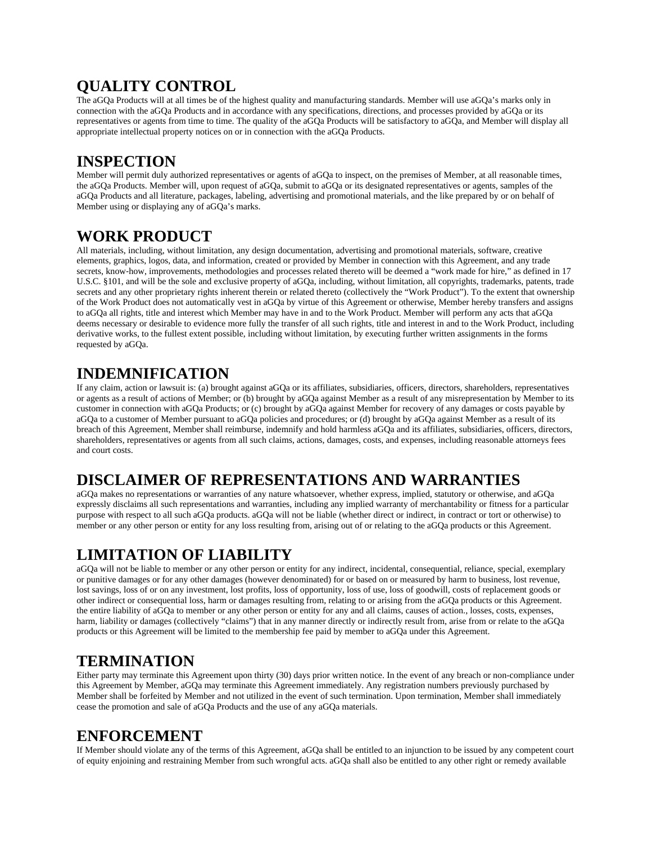# **QUALITY CONTROL**

The aGQa Products will at all times be of the highest quality and manufacturing standards. Member will use aGQa's marks only in connection with the aGQa Products and in accordance with any specifications, directions, and processes provided by aGQa or its representatives or agents from time to time. The quality of the aGQa Products will be satisfactory to aGQa, and Member will display all appropriate intellectual property notices on or in connection with the aGQa Products.

#### **INSPECTION**

Member will permit duly authorized representatives or agents of aGQa to inspect, on the premises of Member, at all reasonable times, the aGQa Products. Member will, upon request of aGQa, submit to aGQa or its designated representatives or agents, samples of the aGQa Products and all literature, packages, labeling, advertising and promotional materials, and the like prepared by or on behalf of Member using or displaying any of aGQa's marks.

## **WORK PRODUCT**

All materials, including, without limitation, any design documentation, advertising and promotional materials, software, creative elements, graphics, logos, data, and information, created or provided by Member in connection with this Agreement, and any trade secrets, know-how, improvements, methodologies and processes related thereto will be deemed a "work made for hire," as defined in 17 U.S.C. §101, and will be the sole and exclusive property of aGQa, including, without limitation, all copyrights, trademarks, patents, trade secrets and any other proprietary rights inherent therein or related thereto (collectively the "Work Product"). To the extent that ownership of the Work Product does not automatically vest in aGQa by virtue of this Agreement or otherwise, Member hereby transfers and assigns to aGQa all rights, title and interest which Member may have in and to the Work Product. Member will perform any acts that aGQa deems necessary or desirable to evidence more fully the transfer of all such rights, title and interest in and to the Work Product, including derivative works, to the fullest extent possible, including without limitation, by executing further written assignments in the forms requested by aGQa.

## **INDEMNIFICATION**

If any claim, action or lawsuit is: (a) brought against aGQa or its affiliates, subsidiaries, officers, directors, shareholders, representatives or agents as a result of actions of Member; or (b) brought by aGQa against Member as a result of any misrepresentation by Member to its customer in connection with aGQa Products; or (c) brought by aGQa against Member for recovery of any damages or costs payable by aGQa to a customer of Member pursuant to aGQa policies and procedures; or (d) brought by aGQa against Member as a result of its breach of this Agreement, Member shall reimburse, indemnify and hold harmless aGQa and its affiliates, subsidiaries, officers, directors, shareholders, representatives or agents from all such claims, actions, damages, costs, and expenses, including reasonable attorneys fees and court costs.

# **DISCLAIMER OF REPRESENTATIONS AND WARRANTIES**

aGQa makes no representations or warranties of any nature whatsoever, whether express, implied, statutory or otherwise, and aGQa expressly disclaims all such representations and warranties, including any implied warranty of merchantability or fitness for a particular purpose with respect to all such aGQa products. aGQa will not be liable (whether direct or indirect, in contract or tort or otherwise) to member or any other person or entity for any loss resulting from, arising out of or relating to the aGQa products or this Agreement.

# **LIMITATION OF LIABILITY**

aGQa will not be liable to member or any other person or entity for any indirect, incidental, consequential, reliance, special, exemplary or punitive damages or for any other damages (however denominated) for or based on or measured by harm to business, lost revenue, lost savings, loss of or on any investment, lost profits, loss of opportunity, loss of use, loss of goodwill, costs of replacement goods or other indirect or consequential loss, harm or damages resulting from, relating to or arising from the aGQa products or this Agreement. the entire liability of aGQa to member or any other person or entity for any and all claims, causes of action., losses, costs, expenses, harm, liability or damages (collectively "claims") that in any manner directly or indirectly result from, arise from or relate to the aGQa products or this Agreement will be limited to the membership fee paid by member to aGQa under this Agreement.

# **TERMINATION**

Either party may terminate this Agreement upon thirty (30) days prior written notice. In the event of any breach or non-compliance under this Agreement by Member, aGQa may terminate this Agreement immediately. Any registration numbers previously purchased by Member shall be forfeited by Member and not utilized in the event of such termination. Upon termination, Member shall immediately cease the promotion and sale of aGQa Products and the use of any aGQa materials.

## **ENFORCEMENT**

If Member should violate any of the terms of this Agreement, aGQa shall be entitled to an injunction to be issued by any competent court of equity enjoining and restraining Member from such wrongful acts. aGQa shall also be entitled to any other right or remedy available